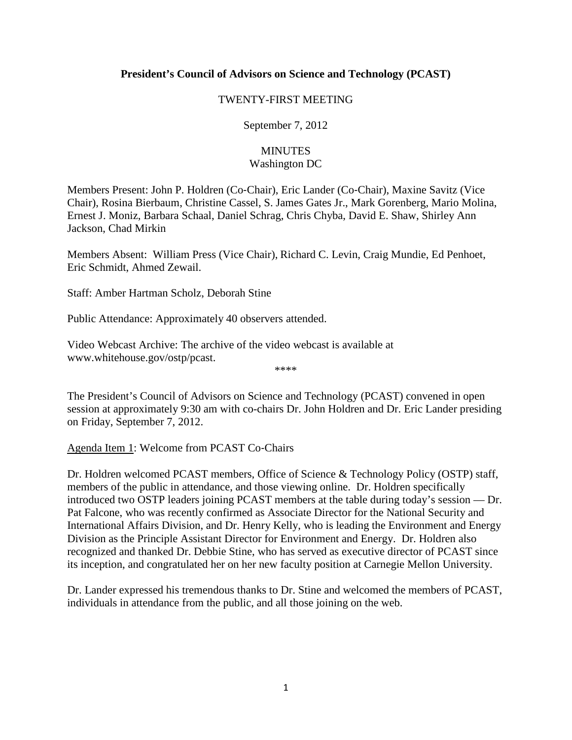## **President's Council of Advisors on Science and Technology (PCAST)**

#### TWENTY-FIRST MEETING

September 7, 2012

## **MINUTES** Washington DC

Members Present: John P. Holdren (Co‐Chair), Eric Lander (Co‐Chair), Maxine Savitz (Vice Chair), Rosina Bierbaum, Christine Cassel, S. James Gates Jr., Mark Gorenberg, Mario Molina, Ernest J. Moniz, Barbara Schaal, Daniel Schrag, Chris Chyba, David E. Shaw, Shirley Ann Jackson, Chad Mirkin

Members Absent: William Press (Vice Chair), Richard C. Levin, Craig Mundie, Ed Penhoet, Eric Schmidt, Ahmed Zewail.

Staff: Amber Hartman Scholz, Deborah Stine

Public Attendance: Approximately 40 observers attended.

Video Webcast Archive: The archive of the video webcast is available at [www.whitehouse.gov/ostp/pcast.](http://www.whitehouse.gov/ostp/pcast)

\*\*\*\*

The President's Council of Advisors on Science and Technology (PCAST) convened in open session at approximately 9:30 am with co-chairs Dr. John Holdren and Dr. Eric Lander presiding on Friday, September 7, 2012.

Agenda Item 1: Welcome from PCAST Co‐Chairs

Dr. Holdren welcomed PCAST members, Office of Science & Technology Policy (OSTP) staff, members of the public in attendance, and those viewing online. Dr. Holdren specifically introduced two OSTP leaders joining PCAST members at the table during today's session — Dr. Pat Falcone, who was recently confirmed as Associate Director for the National Security and International Affairs Division, and Dr. Henry Kelly, who is leading the Environment and Energy Division as the Principle Assistant Director for Environment and Energy. Dr. Holdren also recognized and thanked Dr. Debbie Stine, who has served as executive director of PCAST since its inception, and congratulated her on her new faculty position at Carnegie Mellon University.

Dr. Lander expressed his tremendous thanks to Dr. Stine and welcomed the members of PCAST, individuals in attendance from the public, and all those joining on the web.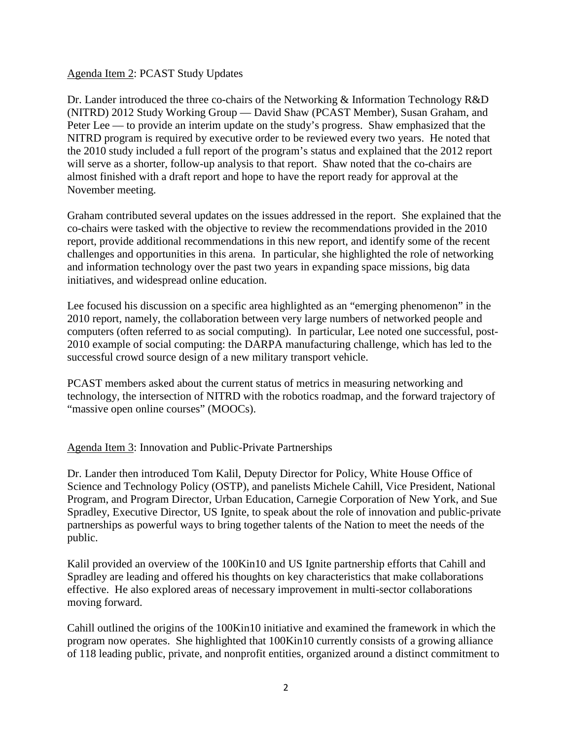#### Agenda Item 2: PCAST Study Updates

Dr. Lander introduced the three co-chairs of the Networking & Information Technology R&D (NITRD) 2012 Study Working Group — David Shaw (PCAST Member), Susan Graham, and Peter Lee — to provide an interim update on the study's progress. Shaw emphasized that the NITRD program is required by executive order to be reviewed every two years. He noted that the 2010 study included a full report of the program's status and explained that the 2012 report will serve as a shorter, follow-up analysis to that report. Shaw noted that the co-chairs are almost finished with a draft report and hope to have the report ready for approval at the November meeting.

Graham contributed several updates on the issues addressed in the report. She explained that the co-chairs were tasked with the objective to review the recommendations provided in the 2010 report, provide additional recommendations in this new report, and identify some of the recent challenges and opportunities in this arena. In particular, she highlighted the role of networking and information technology over the past two years in expanding space missions, big data initiatives, and widespread online education.

Lee focused his discussion on a specific area highlighted as an "emerging phenomenon" in the 2010 report, namely, the collaboration between very large numbers of networked people and computers (often referred to as social computing). In particular, Lee noted one successful, post-2010 example of social computing: the DARPA manufacturing challenge, which has led to the successful crowd source design of a new military transport vehicle.

PCAST members asked about the current status of metrics in measuring networking and technology, the intersection of NITRD with the robotics roadmap, and the forward trajectory of "massive open online courses" (MOOCs).

Agenda Item 3: Innovation and Public-Private Partnerships

Dr. Lander then introduced Tom Kalil, Deputy Director for Policy, White House Office of Science and Technology Policy (OSTP), and panelists Michele Cahill, Vice President, National Program, and Program Director, Urban Education, Carnegie Corporation of New York, and Sue Spradley, Executive Director, US Ignite, to speak about the role of innovation and public-private partnerships as powerful ways to bring together talents of the Nation to meet the needs of the public.

Kalil provided an overview of the 100Kin10 and US Ignite partnership efforts that Cahill and Spradley are leading and offered his thoughts on key characteristics that make collaborations effective. He also explored areas of necessary improvement in multi-sector collaborations moving forward.

Cahill outlined the origins of the 100Kin10 initiative and examined the framework in which the program now operates. She highlighted that 100Kin10 currently consists of a growing alliance of 118 leading public, private, and nonprofit entities, organized around a distinct commitment to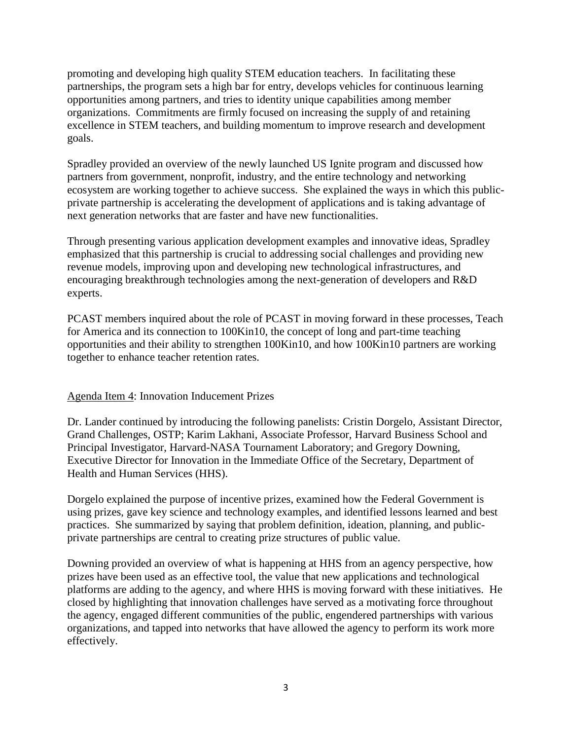promoting and developing high quality STEM education teachers. In facilitating these partnerships, the program sets a high bar for entry, develops vehicles for continuous learning opportunities among partners, and tries to identity unique capabilities among member organizations. Commitments are firmly focused on increasing the supply of and retaining excellence in STEM teachers, and building momentum to improve research and development goals.

Spradley provided an overview of the newly launched US Ignite program and discussed how partners from government, nonprofit, industry, and the entire technology and networking ecosystem are working together to achieve success. She explained the ways in which this publicprivate partnership is accelerating the development of applications and is taking advantage of next generation networks that are faster and have new functionalities.

Through presenting various application development examples and innovative ideas, Spradley emphasized that this partnership is crucial to addressing social challenges and providing new revenue models, improving upon and developing new technological infrastructures, and encouraging breakthrough technologies among the next-generation of developers and R&D experts.

PCAST members inquired about the role of PCAST in moving forward in these processes, Teach for America and its connection to 100Kin10, the concept of long and part-time teaching opportunities and their ability to strengthen 100Kin10, and how 100Kin10 partners are working together to enhance teacher retention rates.

# Agenda Item 4: Innovation Inducement Prizes

Dr. Lander continued by introducing the following panelists: Cristin Dorgelo, Assistant Director, Grand Challenges, OSTP; Karim Lakhani, Associate Professor, Harvard Business School and Principal Investigator, Harvard-NASA Tournament Laboratory; and Gregory Downing, Executive Director for Innovation in the Immediate Office of the Secretary, Department of Health and Human Services (HHS).

Dorgelo explained the purpose of incentive prizes, examined how the Federal Government is using prizes, gave key science and technology examples, and identified lessons learned and best practices. She summarized by saying that problem definition, ideation, planning, and publicprivate partnerships are central to creating prize structures of public value.

Downing provided an overview of what is happening at HHS from an agency perspective, how prizes have been used as an effective tool, the value that new applications and technological platforms are adding to the agency, and where HHS is moving forward with these initiatives. He closed by highlighting that innovation challenges have served as a motivating force throughout the agency, engaged different communities of the public, engendered partnerships with various organizations, and tapped into networks that have allowed the agency to perform its work more effectively.